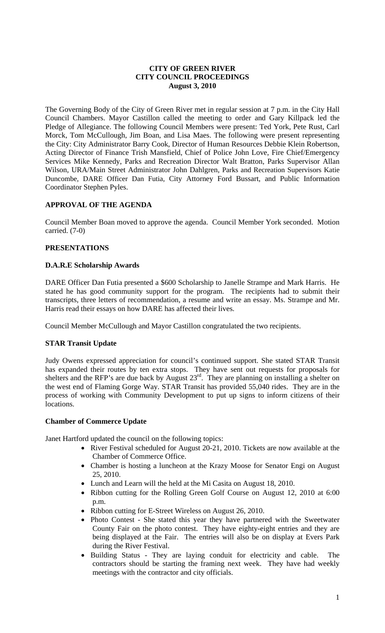## **CITY OF GREEN RIVER CITY COUNCIL PROCEEDINGS August 3, 2010**

The Governing Body of the City of Green River met in regular session at 7 p.m. in the City Hall Council Chambers. Mayor Castillon called the meeting to order and Gary Killpack led the Pledge of Allegiance. The following Council Members were present: Ted York, Pete Rust, Carl Morck, Tom McCullough, Jim Boan, and Lisa Maes. The following were present representing the City: City Administrator Barry Cook, Director of Human Resources Debbie Klein Robertson, Acting Director of Finance Trish Mansfield, Chief of Police John Love, Fire Chief/Emergency Services Mike Kennedy, Parks and Recreation Director Walt Bratton, Parks Supervisor Allan Wilson, URA/Main Street Administrator John Dahlgren, Parks and Recreation Supervisors Katie Duncombe, DARE Officer Dan Futia, City Attorney Ford Bussart, and Public Information Coordinator Stephen Pyles.

# **APPROVAL OF THE AGENDA**

Council Member Boan moved to approve the agenda. Council Member York seconded. Motion carried. (7-0)

### **PRESENTATIONS**

#### **D.A.R.E Scholarship Awards**

DARE Officer Dan Futia presented a \$600 Scholarship to Janelle Strampe and Mark Harris. He stated he has good community support for the program. The recipients had to submit their transcripts, three letters of recommendation, a resume and write an essay. Ms. Strampe and Mr. Harris read their essays on how DARE has affected their lives.

Council Member McCullough and Mayor Castillon congratulated the two recipients.

#### **STAR Transit Update**

Judy Owens expressed appreciation for council's continued support. She stated STAR Transit has expanded their routes by ten extra stops. They have sent out requests for proposals for shelters and the RFP's are due back by August  $23^{rd}$ . They are planning on installing a shelter on the west end of Flaming Gorge Way. STAR Transit has provided 55,040 rides. They are in the process of working with Community Development to put up signs to inform citizens of their locations.

#### **Chamber of Commerce Update**

Janet Hartford updated the council on the following topics:

- River Festival scheduled for August 20-21, 2010. Tickets are now available at the Chamber of Commerce Office.
- Chamber is hosting a luncheon at the Krazy Moose for Senator Engi on August 25, 2010.
- Lunch and Learn will the held at the Mi Casita on August 18, 2010.
- Ribbon cutting for the Rolling Green Golf Course on August 12, 2010 at 6:00 p.m.
- Ribbon cutting for E-Street Wireless on August 26, 2010.
- Photo Contest She stated this year they have partnered with the Sweetwater County Fair on the photo contest. They have eighty-eight entries and they are being displayed at the Fair. The entries will also be on display at Evers Park during the River Festival.
- Building Status They are laying conduit for electricity and cable. The contractors should be starting the framing next week. They have had weekly meetings with the contractor and city officials.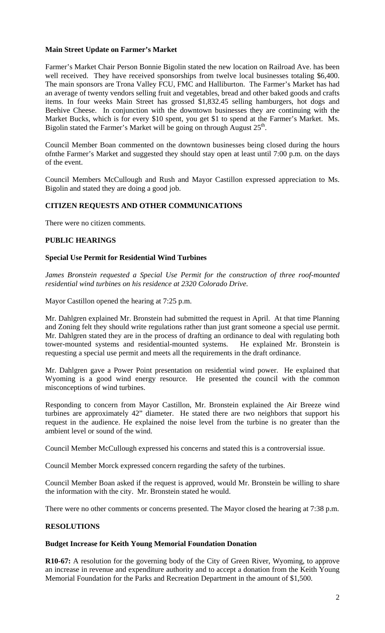# **Main Street Update on Farmer's Market**

Farmer's Market Chair Person Bonnie Bigolin stated the new location on Railroad Ave. has been well received. They have received sponsorships from twelve local businesses totaling \$6,400. The main sponsors are Trona Valley FCU, FMC and Halliburton. The Farmer's Market has had an average of twenty vendors selling fruit and vegetables, bread and other baked goods and crafts items. In four weeks Main Street has grossed \$1,832.45 selling hamburgers, hot dogs and Beehive Cheese. In conjunction with the downtown businesses they are continuing with the Market Bucks, which is for every \$10 spent, you get \$1 to spend at the Farmer's Market. Ms. Bigolin stated the Farmer's Market will be going on through August  $25<sup>th</sup>$ .

Council Member Boan commented on the downtown businesses being closed during the hours ofnthe Farmer's Market and suggested they should stay open at least until 7:00 p.m. on the days of the event.

Council Members McCullough and Rush and Mayor Castillon expressed appreciation to Ms. Bigolin and stated they are doing a good job.

# **CITIZEN REQUESTS AND OTHER COMMUNICATIONS**

There were no citizen comments.

#### **PUBLIC HEARINGS**

#### **Special Use Permit for Residential Wind Turbines**

*James Bronstein requested a Special Use Permit for the construction of three roof-mounted residential wind turbines on his residence at 2320 Colorado Drive.* 

Mayor Castillon opened the hearing at 7:25 p.m.

Mr. Dahlgren explained Mr. Bronstein had submitted the request in April. At that time Planning and Zoning felt they should write regulations rather than just grant someone a special use permit. Mr. Dahlgren stated they are in the process of drafting an ordinance to deal with regulating both tower-mounted systems and residential-mounted systems. He explained Mr. Bronstein is requesting a special use permit and meets all the requirements in the draft ordinance.

Mr. Dahlgren gave a Power Point presentation on residential wind power. He explained that Wyoming is a good wind energy resource. He presented the council with the common misconceptions of wind turbines.

Responding to concern from Mayor Castillon, Mr. Bronstein explained the Air Breeze wind turbines are approximately 42" diameter. He stated there are two neighbors that support his request in the audience. He explained the noise level from the turbine is no greater than the ambient level or sound of the wind.

Council Member McCullough expressed his concerns and stated this is a controversial issue.

Council Member Morck expressed concern regarding the safety of the turbines.

Council Member Boan asked if the request is approved, would Mr. Bronstein be willing to share the information with the city. Mr. Bronstein stated he would.

There were no other comments or concerns presented. The Mayor closed the hearing at 7:38 p.m.

## **RESOLUTIONS**

#### **Budget Increase for Keith Young Memorial Foundation Donation**

**R10-67:** A resolution for the governing body of the City of Green River, Wyoming, to approve an increase in revenue and expenditure authority and to accept a donation from the Keith Young Memorial Foundation for the Parks and Recreation Department in the amount of \$1,500.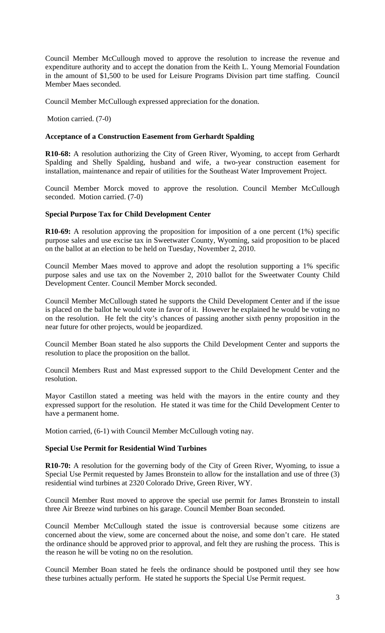Council Member McCullough moved to approve the resolution to increase the revenue and expenditure authority and to accept the donation from the Keith L. Young Memorial Foundation in the amount of \$1,500 to be used for Leisure Programs Division part time staffing. Council Member Maes seconded.

Council Member McCullough expressed appreciation for the donation.

Motion carried. (7-0)

## **Acceptance of a Construction Easement from Gerhardt Spalding**

**R10-68:** A resolution authorizing the City of Green River, Wyoming, to accept from Gerhardt Spalding and Shelly Spalding, husband and wife, a two-year construction easement for installation, maintenance and repair of utilities for the Southeast Water Improvement Project.

Council Member Morck moved to approve the resolution. Council Member McCullough seconded. Motion carried. (7-0)

#### **Special Purpose Tax for Child Development Center**

**R10-69:** A resolution approving the proposition for imposition of a one percent (1%) specific purpose sales and use excise tax in Sweetwater County, Wyoming, said proposition to be placed on the ballot at an election to be held on Tuesday, November 2, 2010.

Council Member Maes moved to approve and adopt the resolution supporting a 1% specific purpose sales and use tax on the November 2, 2010 ballot for the Sweetwater County Child Development Center. Council Member Morck seconded.

Council Member McCullough stated he supports the Child Development Center and if the issue is placed on the ballot he would vote in favor of it. However he explained he would be voting no on the resolution. He felt the city's chances of passing another sixth penny proposition in the near future for other projects, would be jeopardized.

Council Member Boan stated he also supports the Child Development Center and supports the resolution to place the proposition on the ballot.

Council Members Rust and Mast expressed support to the Child Development Center and the resolution.

Mayor Castillon stated a meeting was held with the mayors in the entire county and they expressed support for the resolution. He stated it was time for the Child Development Center to have a permanent home.

Motion carried, (6-1) with Council Member McCullough voting nay.

#### **Special Use Permit for Residential Wind Turbines**

**R10-70:** A resolution for the governing body of the City of Green River, Wyoming, to issue a Special Use Permit requested by James Bronstein to allow for the installation and use of three (3) residential wind turbines at 2320 Colorado Drive, Green River, WY.

Council Member Rust moved to approve the special use permit for James Bronstein to install three Air Breeze wind turbines on his garage. Council Member Boan seconded.

Council Member McCullough stated the issue is controversial because some citizens are concerned about the view, some are concerned about the noise, and some don't care. He stated the ordinance should be approved prior to approval, and felt they are rushing the process. This is the reason he will be voting no on the resolution.

Council Member Boan stated he feels the ordinance should be postponed until they see how these turbines actually perform. He stated he supports the Special Use Permit request.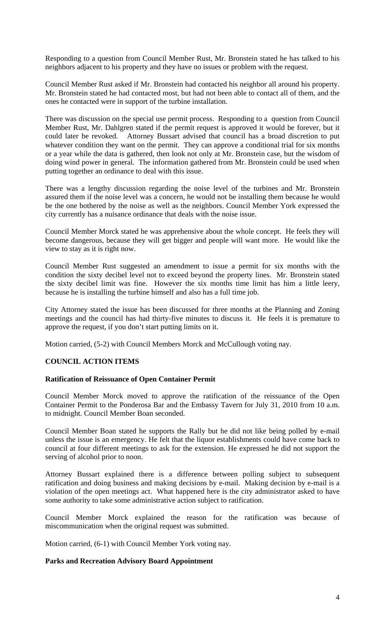Responding to a question from Council Member Rust, Mr. Bronstein stated he has talked to his neighbors adjacent to his property and they have no issues or problem with the request.

Council Member Rust asked if Mr. Bronstein had contacted his neighbor all around his property. Mr. Bronstein stated he had contacted most, but had not been able to contact all of them, and the ones he contacted were in support of the turbine installation.

There was discussion on the special use permit process. Responding to a question from Council Member Rust, Mr. Dahlgren stated if the permit request is approved it would be forever, but it could later be revoked. Attorney Bussart advised that council has a broad discretion to put whatever condition they want on the permit. They can approve a conditional trial for six months or a year while the data is gathered, then look not only at Mr. Bronstein case, but the wisdom of doing wind power in general. The information gathered from Mr. Bronstein could be used when putting together an ordinance to deal with this issue.

There was a lengthy discussion regarding the noise level of the turbines and Mr. Bronstein assured them if the noise level was a concern, he would not be installing them because he would be the one bothered by the noise as well as the neighbors. Council Member York expressed the city currently has a nuisance ordinance that deals with the noise issue.

Council Member Morck stated he was apprehensive about the whole concept. He feels they will become dangerous, because they will get bigger and people will want more. He would like the view to stay as it is right now.

Council Member Rust suggested an amendment to issue a permit for six months with the condition the sixty decibel level not to exceed beyond the property lines. Mr. Bronstein stated the sixty decibel limit was fine. However the six months time limit has him a little leery, because he is installing the turbine himself and also has a full time job.

City Attorney stated the issue has been discussed for three months at the Planning and Zoning meetings and the council has had thirty-five minutes to discuss it. He feels it is premature to approve the request, if you don't start putting limits on it.

Motion carried, (5-2) with Council Members Morck and McCullough voting nay.

# **COUNCIL ACTION ITEMS**

#### **Ratification of Reissuance of Open Container Permit**

Council Member Morck moved to approve the ratification of the reissuance of the Open Container Permit to the Ponderosa Bar and the Embassy Tavern for July 31, 2010 from 10 a.m. to midnight. Council Member Boan seconded.

Council Member Boan stated he supports the Rally but he did not like being polled by e-mail unless the issue is an emergency. He felt that the liquor establishments could have come back to council at four different meetings to ask for the extension. He expressed he did not support the serving of alcohol prior to noon.

Attorney Bussart explained there is a difference between polling subject to subsequent ratification and doing business and making decisions by e-mail. Making decision by e-mail is a violation of the open meetings act. What happened here is the city administrator asked to have some authority to take some administrative action subject to ratification.

Council Member Morck explained the reason for the ratification was because of miscommunication when the original request was submitted.

Motion carried, (6-1) with Council Member York voting nay.

# **Parks and Recreation Advisory Board Appointment**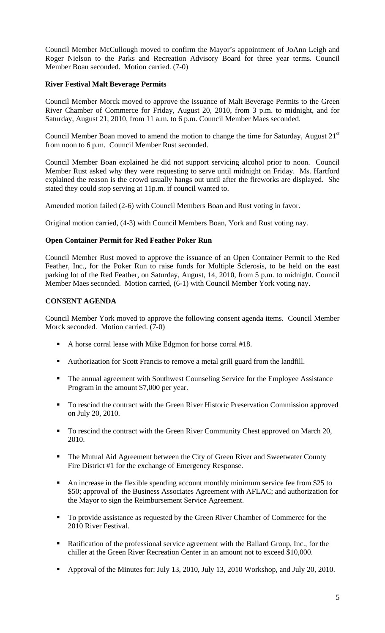Council Member McCullough moved to confirm the Mayor's appointment of JoAnn Leigh and Roger Nielson to the Parks and Recreation Advisory Board for three year terms. Council Member Boan seconded. Motion carried. (7-0)

## **River Festival Malt Beverage Permits**

Council Member Morck moved to approve the issuance of Malt Beverage Permits to the Green River Chamber of Commerce for Friday, August 20, 2010, from 3 p.m. to midnight, and for Saturday, August 21, 2010, from 11 a.m. to 6 p.m. Council Member Maes seconded.

Council Member Boan moved to amend the motion to change the time for Saturday, August  $21<sup>st</sup>$ from noon to 6 p.m. Council Member Rust seconded.

Council Member Boan explained he did not support servicing alcohol prior to noon. Council Member Rust asked why they were requesting to serve until midnight on Friday. Ms. Hartford explained the reason is the crowd usually hangs out until after the fireworks are displayed. She stated they could stop serving at 11p.m. if council wanted to.

Amended motion failed (2-6) with Council Members Boan and Rust voting in favor.

Original motion carried, (4-3) with Council Members Boan, York and Rust voting nay.

# **Open Container Permit for Red Feather Poker Run**

Council Member Rust moved to approve the issuance of an Open Container Permit to the Red Feather, Inc., for the Poker Run to raise funds for Multiple Sclerosis, to be held on the east parking lot of the Red Feather, on Saturday, August, 14, 2010, from 5 p.m. to midnight. Council Member Maes seconded. Motion carried, (6-1) with Council Member York voting nay.

# **CONSENT AGENDA**

Council Member York moved to approve the following consent agenda items. Council Member Morck seconded. Motion carried. (7-0)

- A horse corral lease with Mike Edgmon for horse corral #18.
- Authorization for Scott Francis to remove a metal grill guard from the landfill.
- The annual agreement with Southwest Counseling Service for the Employee Assistance Program in the amount \$7,000 per year.
- To rescind the contract with the Green River Historic Preservation Commission approved on July 20, 2010.
- To rescind the contract with the Green River Community Chest approved on March 20, 2010.
- The Mutual Aid Agreement between the City of Green River and Sweetwater County Fire District #1 for the exchange of Emergency Response.
- An increase in the flexible spending account monthly minimum service fee from \$25 to \$50; approval of the Business Associates Agreement with AFLAC; and authorization for the Mayor to sign the Reimbursement Service Agreement.
- To provide assistance as requested by the Green River Chamber of Commerce for the 2010 River Festival.
- Ratification of the professional service agreement with the Ballard Group, Inc., for the chiller at the Green River Recreation Center in an amount not to exceed \$10,000.
- Approval of the Minutes for: July 13, 2010, July 13, 2010 Workshop, and July 20, 2010.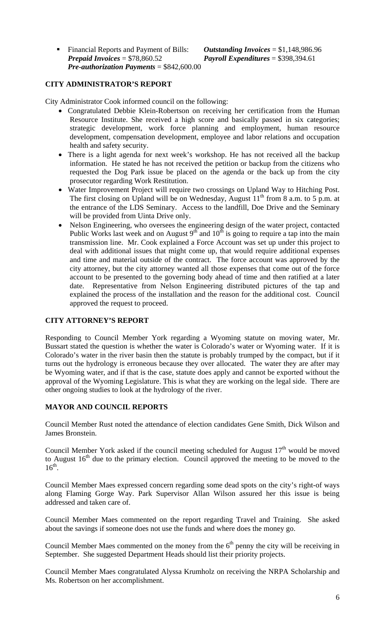Financial Reports and Payment of Bills: *Outstanding Invoices* = \$1,148,986.96 *Prepaid Invoices* = \$78,860.52 *Payroll Expenditures* = \$398,394.61 *Pre-authorization Payments* = \$842,600.00

#### **CITY ADMINISTRATOR'S REPORT**

City Administrator Cook informed council on the following:

- Congratulated Debbie Klein-Robertson on receiving her certification from the Human Resource Institute. She received a high score and basically passed in six categories; strategic development, work force planning and employment, human resource development, compensation development, employee and labor relations and occupation health and safety security.
- There is a light agenda for next week's workshop. He has not received all the backup information. He stated he has not received the petition or backup from the citizens who requested the Dog Park issue be placed on the agenda or the back up from the city prosecutor regarding Work Restitution.
- Water Improvement Project will require two crossings on Upland Way to Hitching Post. The first closing on Upland will be on Wednesday, August  $11<sup>th</sup>$  from 8 a.m. to 5 p.m. at the entrance of the LDS Seminary. Access to the landfill, Doe Drive and the Seminary will be provided from Uinta Drive only.
- Nelson Engineering, who oversees the engineering design of the water project, contacted Public Works last week and on August  $9<sup>th</sup>$  and  $10<sup>th</sup>$  is going to require a tap into the main transmission line. Mr. Cook explained a Force Account was set up under this project to deal with additional issues that might come up, that would require additional expenses and time and material outside of the contract. The force account was approved by the city attorney, but the city attorney wanted all those expenses that come out of the force account to be presented to the governing body ahead of time and then ratified at a later date. Representative from Nelson Engineering distributed pictures of the tap and explained the process of the installation and the reason for the additional cost. Council approved the request to proceed.

#### **CITY ATTORNEY'S REPORT**

Responding to Council Member York regarding a Wyoming statute on moving water, Mr. Bussart stated the question is whether the water is Colorado's water or Wyoming water. If it is Colorado's water in the river basin then the statute is probably trumped by the compact, but if it turns out the hydrology is erroneous because they over allocated. The water they are after may be Wyoming water, and if that is the case, statute does apply and cannot be exported without the approval of the Wyoming Legislature. This is what they are working on the legal side. There are other ongoing studies to look at the hydrology of the river.

#### **MAYOR AND COUNCIL REPORTS**

Council Member Rust noted the attendance of election candidates Gene Smith, Dick Wilson and James Bronstein.

Council Member York asked if the council meeting scheduled for August  $17<sup>th</sup>$  would be moved to August  $16<sup>th</sup>$  due to the primary election. Council approved the meeting to be moved to the  $16^{th}$ .

Council Member Maes expressed concern regarding some dead spots on the city's right-of ways along Flaming Gorge Way. Park Supervisor Allan Wilson assured her this issue is being addressed and taken care of.

Council Member Maes commented on the report regarding Travel and Training. She asked about the savings if someone does not use the funds and where does the money go.

Council Member Maes commented on the money from the  $6<sup>th</sup>$  penny the city will be receiving in September. She suggested Department Heads should list their priority projects.

Council Member Maes congratulated Alyssa Krumholz on receiving the NRPA Scholarship and Ms. Robertson on her accomplishment.